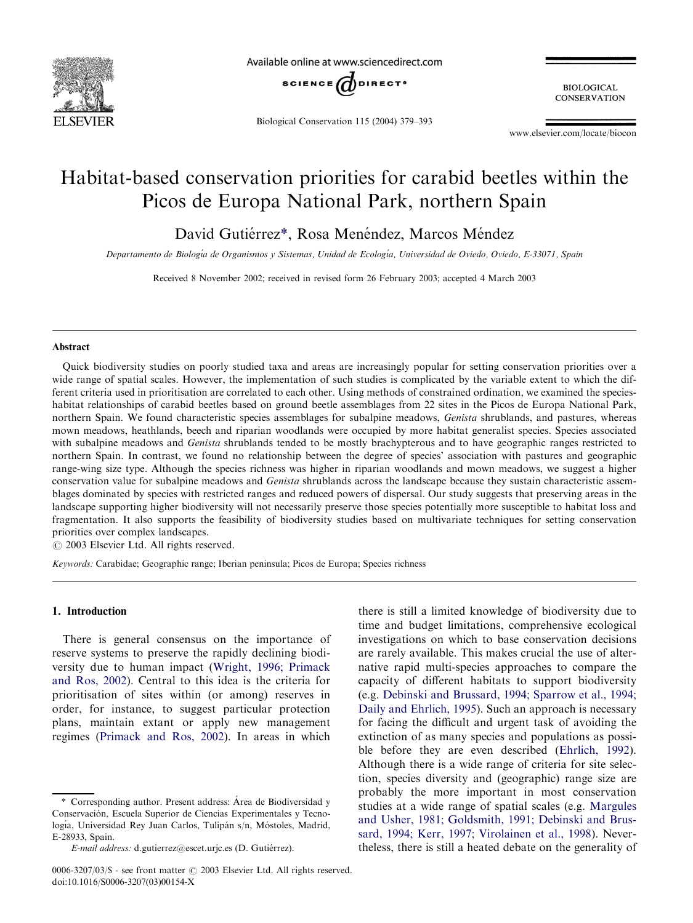

Available online at www.sciencedirect.com



Biological Conservation 115 (2004) 379–393

**BIOLOGICAL CONSERVATION** 

[www.elsevier.com/locate/biocon](http://www.elsevier.com/locate/biocon/a4.3d)

# Habitat-based conservation priorities for carabid beetles within the Picos de Europa National Park, northern Spain

David Gutiérrez\*, Rosa Menéndez, Marcos Méndez

Departamento de Biología de Organismos y Sistemas, Unidad de Ecología, Universidad de Oviedo, Oviedo, E-33071, Spain

Received 8 November 2002; received in revised form 26 February 2003; accepted 4 March 2003

#### Abstract

Quick biodiversity studies on poorly studied taxa and areas are increasingly popular for setting conservation priorities over a wide range of spatial scales. However, the implementation of such studies is complicated by the variable extent to which the different criteria used in prioritisation are correlated to each other. Using methods of constrained ordination, we examined the specieshabitat relationships of carabid beetles based on ground beetle assemblages from 22 sites in the Picos de Europa National Park, northern Spain. We found characteristic species assemblages for subalpine meadows, *Genista* shrublands, and pastures, whereas mown meadows, heathlands, beech and riparian woodlands were occupied by more habitat generalist species. Species associated with subalpine meadows and *Genista* shrublands tended to be mostly brachypterous and to have geographic ranges restricted to northern Spain. In contrast, we found no relationship between the degree of species' association with pastures and geographic range-wing size type. Although the species richness was higher in riparian woodlands and mown meadows, we suggest a higher conservation value for subalpine meadows and *Genista* shrublands across the landscape because they sustain characteristic assemblages dominated by species with restricted ranges and reduced powers of dispersal. Our study suggests that preserving areas in the landscape supporting higher biodiversity will not necessarily preserve those species potentially more susceptible to habitat loss and fragmentation. It also supports the feasibility of biodiversity studies based on multivariate techniques for setting conservation priorities over complex landscapes.

 $\odot$  2003 Elsevier Ltd. All rights reserved.

Keywords: Carabidae; Geographic range; Iberian peninsula; Picos de Europa; Species richness

# 1. Introduction

There is general consensus on the importance of reserve systems to preserve the rapidly declining biodiversity due to human impact [\(Wright, 1996; Primack](#page-14-0) [and Ros, 2002\)](#page-14-0). Central to this idea is the criteria for prioritisation of sites within (or among) reserves in order, for instance, to suggest particular protection plans, maintain extant or apply new management regimes ([Primack and Ros, 2002](#page-14-0)). In areas in which there is still a limited knowledge of biodiversity due to time and budget limitations, comprehensive ecological investigations on which to base conservation decisions are rarely available. This makes crucial the use of alternative rapid multi-species approaches to compare the capacity of different habitats to support biodiversity (e.g. [Debinski and Brussard, 1994; Sparrow et al., 1994;](#page-13-0) [Daily and Ehrlich, 1995](#page-13-0)). Such an approach is necessary for facing the difficult and urgent task of avoiding the extinction of as many species and populations as possible before they are even described [\(Ehrlich, 1992\)](#page-14-0). Although there is a wide range of criteria for site selection, species diversity and (geographic) range size are probably the more important in most conservation studies at a wide range of spatial scales (e.g. [Margules](#page-14-0) [and Usher, 1981; Goldsmith, 1991; Debinski and Brus](#page-14-0)[sard, 1994; Kerr, 1997; Virolainen et al., 1998](#page-14-0)). Nevertheless, there is still a heated debate on the generality of

<sup>\*</sup> Corresponding author. Present address: A´ rea de Biodiversidad y Conservación, Escuela Superior de Ciencias Experimentales y Tecnología, Universidad Rey Juan Carlos, Tulipán s/n, Móstoles, Madrid, E-28933, Spain.

E-mail address: [d.gutierrez@escet.urjc.es](mailto:d.gutierrez@escet.urjc.es) (D. Gutiérrez).

<sup>0006-3207/03/\$ -</sup> see front matter  $\odot$  2003 Elsevier Ltd. All rights reserved. doi:10.1016/S0006-3207(03)00154-X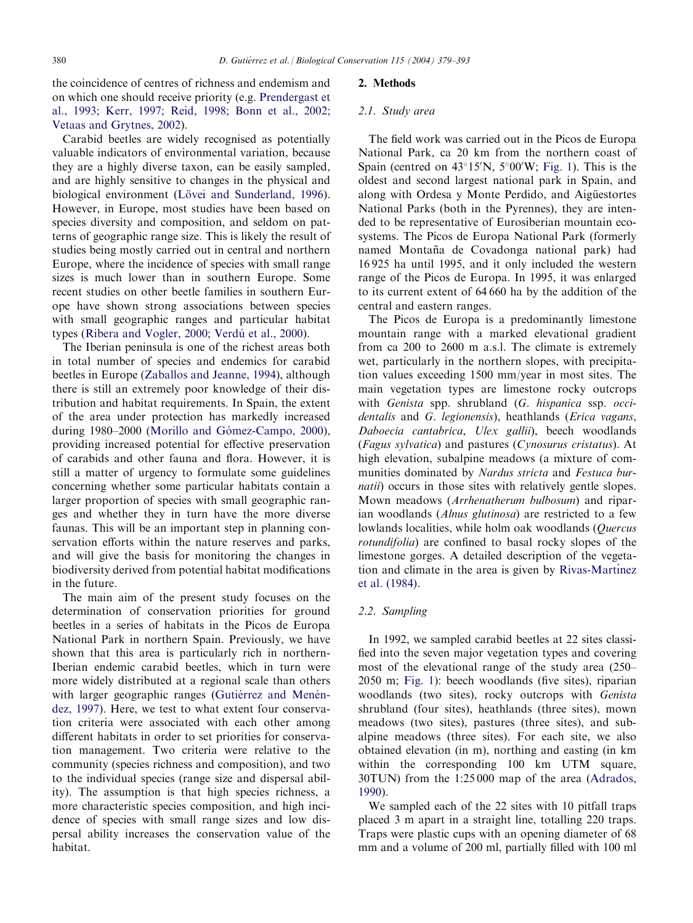the coincidence of centres of richness and endemism and on which one should receive priority (e.g. [Prendergast et](#page-14-0) [al., 1993; Kerr, 1997; Reid, 1998; Bonn et al., 2002;](#page-14-0) [Vetaas and Grytnes, 2002](#page-14-0)).

Carabid beetles are widely recognised as potentially valuable indicators of environmental variation, because they are a highly diverse taxon, can be easily sampled, and are highly sensitive to changes in the physical and biological environment (Lövei and Sunderland, 1996). However, in Europe, most studies have been based on species diversity and composition, and seldom on patterns of geographic range size. This is likely the result of studies being mostly carried out in central and northern Europe, where the incidence of species with small range sizes is much lower than in southern Europe. Some recent studies on other beetle families in southern Europe have shown strong associations between species with small geographic ranges and particular habitat types (Ribera and Vogler, 2000; Verdú et al., 2000).

The Iberian peninsula is one of the richest areas both in total number of species and endemics for carabid beetles in Europe [\(Zaballos and Jeanne, 1994](#page-14-0)), although there is still an extremely poor knowledge of their distribution and habitat requirements. In Spain, the extent of the area under protection has markedly increased during 1980–2000 (Morillo and Gómez-Campo, 2000), providing increased potential for effective preservation of carabids and other fauna and flora. However, it is still a matter of urgency to formulate some guidelines concerning whether some particular habitats contain a larger proportion of species with small geographic ranges and whether they in turn have the more diverse faunas. This will be an important step in planning conservation efforts within the nature reserves and parks, and will give the basis for monitoring the changes in biodiversity derived from potential habitat modifications in the future.

The main aim of the present study focuses on the determination of conservation priorities for ground beetles in a series of habitats in the Picos de Europa National Park in northern Spain. Previously, we have shown that this area is particularly rich in northern-Iberian endemic carabid beetles, which in turn were more widely distributed at a regional scale than others with larger geographic ranges (Gutiérrez and Menén[dez, 1997](#page-14-0)). Here, we test to what extent four conservation criteria were associated with each other among different habitats in order to set priorities for conservation management. Two criteria were relative to the community (species richness and composition), and two to the individual species (range size and dispersal ability). The assumption is that high species richness, a more characteristic species composition, and high incidence of species with small range sizes and low dispersal ability increases the conservation value of the habitat.

#### 2. Methods

#### 2.1. Study area

The field work was carried out in the Picos de Europa National Park, ca 20 km from the northern coast of Spain (centred on  $43^{\circ}15'N$ ,  $5^{\circ}00'W$ ; [Fig. 1\)](#page-2-0). This is the oldest and second largest national park in Spain, and along with Ordesa y Monte Perdido, and Aigüestortes National Parks (both in the Pyrennes), they are intended to be representative of Eurosiberian mountain ecosystems. The Picos de Europa National Park (formerly named Montaña de Covadonga national park) had 16 925 ha until 1995, and it only included the western range of the Picos de Europa. In 1995, it was enlarged to its current extent of 64 660 ha by the addition of the central and eastern ranges.

The Picos de Europa is a predominantly limestone mountain range with a marked elevational gradient from ca 200 to 2600 m a.s.l. The climate is extremely wet, particularly in the northern slopes, with precipitation values exceeding 1500 mm/year in most sites. The main vegetation types are limestone rocky outcrops with Genista spp. shrubland (G. hispanica ssp. occidentalis and G. legionensis), heathlands (Erica vagans, Daboecia cantabrica, Ulex gallii), beech woodlands (Fagus sylvatica) and pastures (Cynosurus cristatus). At high elevation, subalpine meadows (a mixture of communities dominated by Nardus stricta and Festuca burnatii) occurs in those sites with relatively gentle slopes. Mown meadows (Arrhenatherum bulbosum) and riparian woodlands (Alnus glutinosa) are restricted to a few lowlands localities, while holm oak woodlands (Ouercus rotundifolia) are confined to basal rocky slopes of the limestone gorges. A detailed description of the vegetation and climate in the area is given by Rivas-Martinez [et al. \(1984\).](#page-14-0)

# 2.2. Sampling

In 1992, we sampled carabid beetles at 22 sites classified into the seven major vegetation types and covering most of the elevational range of the study area (250– 2050 m; [Fig. 1](#page-2-0)): beech woodlands (five sites), riparian woodlands (two sites), rocky outcrops with Genista shrubland (four sites), heathlands (three sites), mown meadows (two sites), pastures (three sites), and subalpine meadows (three sites). For each site, we also obtained elevation (in m), northing and easting (in km within the corresponding 100 km UTM square, 30TUN) from the 1:25 000 map of the area [\(Adrados,](#page-13-0) [1990\)](#page-13-0).

We sampled each of the 22 sites with 10 pitfall traps placed 3 m apart in a straight line, totalling 220 traps. Traps were plastic cups with an opening diameter of 68 mm and a volume of 200 ml, partially filled with 100 ml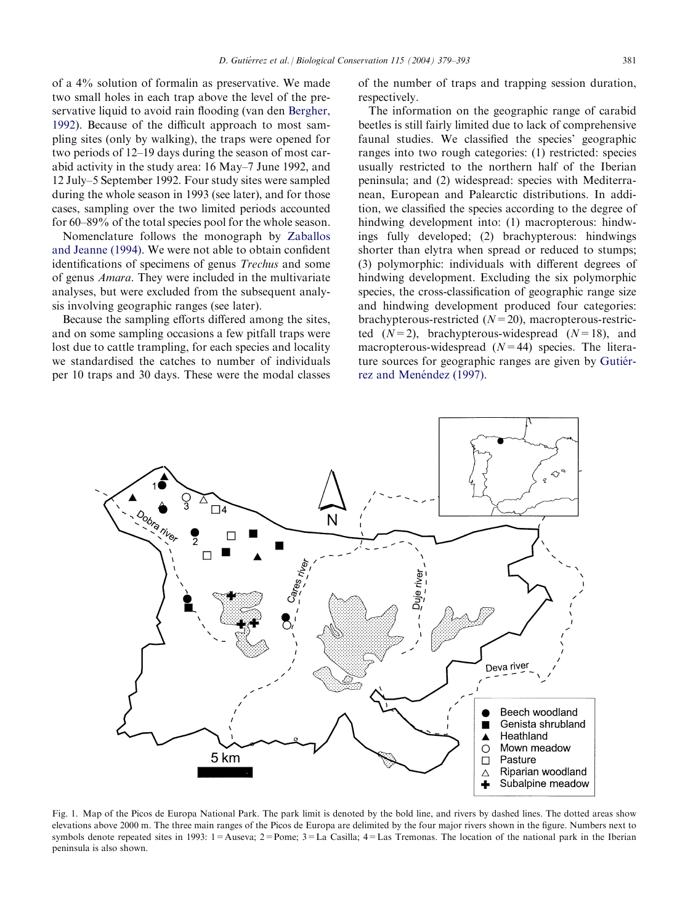<span id="page-2-0"></span>of a 4% solution of formalin as preservative. We made two small holes in each trap above the level of the preservative liquid to avoid rain flooding (van den [Bergher,](#page-14-0) [1992\)](#page-14-0). Because of the difficult approach to most sampling sites (only by walking), the traps were opened for two periods of 12–19 days during the season of most carabid activity in the study area: 16 May–7 June 1992, and 12 July–5 September 1992. Four study sites were sampled during the whole season in 1993 (see later), and for those cases, sampling over the two limited periods accounted for 60–89% of the total species pool for the whole season.

Nomenclature follows the monograph by [Zaballos](#page-14-0) [and Jeanne \(1994\).](#page-14-0) We were not able to obtain confident identifications of specimens of genus Trechus and some of genus Amara. They were included in the multivariate analyses, but were excluded from the subsequent analysis involving geographic ranges (see later).

Because the sampling efforts differed among the sites, and on some sampling occasions a few pitfall traps were lost due to cattle trampling, for each species and locality we standardised the catches to number of individuals per 10 traps and 30 days. These were the modal classes

of the number of traps and trapping session duration, respectively.

The information on the geographic range of carabid beetles is still fairly limited due to lack of comprehensive faunal studies. We classified the species' geographic ranges into two rough categories: (1) restricted: species usually restricted to the northern half of the Iberian peninsula; and (2) widespread: species with Mediterranean, European and Palearctic distributions. In addition, we classified the species according to the degree of hindwing development into: (1) macropterous: hindwings fully developed; (2) brachypterous: hindwings shorter than elytra when spread or reduced to stumps; (3) polymorphic: individuals with different degrees of hindwing development. Excluding the six polymorphic species, the cross-classification of geographic range size and hindwing development produced four categories: brachypterous-restricted  $(N=20)$ , macropterous-restricted  $(N=2)$ , brachypterous-widespread  $(N=18)$ , and macropterous-widespread  $(N=44)$  species. The literature sources for geographic ranges are given by Gutiérrez and Menéndez (1997).



Fig. 1. Map of the Picos de Europa National Park. The park limit is denoted by the bold line, and rivers by dashed lines. The dotted areas show elevations above 2000 m. The three main ranges of the Picos de Europa are delimited by the four major rivers shown in the figure. Numbers next to symbols denote repeated sites in 1993:  $1 =$ Auseva;  $2 =$ Pome;  $3 =$ La Casilla;  $4 =$ Las Tremonas. The location of the national park in the Iberian peninsula is also shown.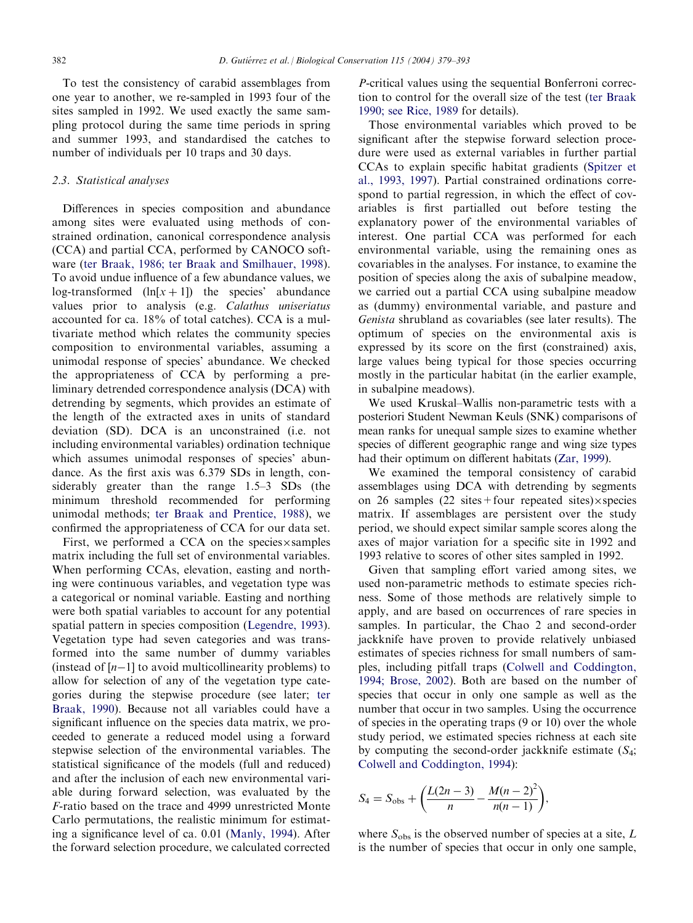To test the consistency of carabid assemblages from one year to another, we re-sampled in 1993 four of the sites sampled in 1992. We used exactly the same sampling protocol during the same time periods in spring and summer 1993, and standardised the catches to number of individuals per 10 traps and 30 days.

# 2.3. Statistical analyses

Differences in species composition and abundance among sites were evaluated using methods of constrained ordination, canonical correspondence analysis (CCA) and partial CCA, performed by CANOCO software ([ter Braak, 1986; ter Braak and Smilhauer, 1998\)](#page-14-0). To avoid undue influence of a few abundance values, we log-transformed  $(ln[x + 1])$  the species' abundance values prior to analysis (e.g. Calathus uniseriatus accounted for ca. 18% of total catches). CCA is a multivariate method which relates the community species composition to environmental variables, assuming a unimodal response of species' abundance. We checked the appropriateness of CCA by performing a preliminary detrended correspondence analysis (DCA) with detrending by segments, which provides an estimate of the length of the extracted axes in units of standard deviation (SD). DCA is an unconstrained (i.e. not including environmental variables) ordination technique which assumes unimodal responses of species' abundance. As the first axis was 6.379 SDs in length, considerably greater than the range 1.5–3 SDs (the minimum threshold recommended for performing unimodal methods; [ter Braak and Prentice, 1988\)](#page-14-0), we confirmed the appropriateness of CCA for our data set.

First, we performed a CCA on the species $\times$ samples matrix including the full set of environmental variables. When performing CCAs, elevation, easting and northing were continuous variables, and vegetation type was a categorical or nominal variable. Easting and northing were both spatial variables to account for any potential spatial pattern in species composition ([Legendre, 1993\)](#page-14-0). Vegetation type had seven categories and was transformed into the same number of dummy variables (instead of  $[n-1]$  to avoid multicollinearity problems) to allow for selection of any of the vegetation type categories during the stepwise procedure (see later; [ter](#page-14-0) [Braak, 1990](#page-14-0)). Because not all variables could have a significant influence on the species data matrix, we proceeded to generate a reduced model using a forward stepwise selection of the environmental variables. The statistical significance of the models (full and reduced) and after the inclusion of each new environmental variable during forward selection, was evaluated by the F-ratio based on the trace and 4999 unrestricted Monte Carlo permutations, the realistic minimum for estimating a significance level of ca. 0.01 ([Manly, 1994\)](#page-14-0). After the forward selection procedure, we calculated corrected

P-critical values using the sequential Bonferroni correction to control for the overall size of the test [\(ter Braak](#page-14-0) [1990; see Rice, 1989](#page-14-0) for details).

Those environmental variables which proved to be significant after the stepwise forward selection procedure were used as external variables in further partial CCAs to explain specific habitat gradients ([Spitzer et](#page-14-0) [al., 1993, 1997\)](#page-14-0). Partial constrained ordinations correspond to partial regression, in which the effect of covariables is first partialled out before testing the explanatory power of the environmental variables of interest. One partial CCA was performed for each environmental variable, using the remaining ones as covariables in the analyses. For instance, to examine the position of species along the axis of subalpine meadow, we carried out a partial CCA using subalpine meadow as (dummy) environmental variable, and pasture and Genista shrubland as covariables (see later results). The optimum of species on the environmental axis is expressed by its score on the first (constrained) axis, large values being typical for those species occurring mostly in the particular habitat (in the earlier example, in subalpine meadows).

We used Kruskal–Wallis non-parametric tests with a posteriori Student Newman Keuls (SNK) comparisons of mean ranks for unequal sample sizes to examine whether species of different geographic range and wing size types had their optimum on different habitats ([Zar, 1999\)](#page-14-0).

We examined the temporal consistency of carabid assemblages using DCA with detrending by segments on 26 samples (22 sites+four repeated sites) $\times$ species matrix. If assemblages are persistent over the study period, we should expect similar sample scores along the axes of major variation for a specific site in 1992 and 1993 relative to scores of other sites sampled in 1992.

Given that sampling effort varied among sites, we used non-parametric methods to estimate species richness. Some of those methods are relatively simple to apply, and are based on occurrences of rare species in samples. In particular, the Chao 2 and second-order jackknife have proven to provide relatively unbiased estimates of species richness for small numbers of samples, including pitfall traps [\(Colwell and Coddington,](#page-13-0) [1994; Brose, 2002](#page-13-0)). Both are based on the number of species that occur in only one sample as well as the number that occur in two samples. Using the occurrence of species in the operating traps (9 or 10) over the whole study period, we estimated species richness at each site by computing the second-order jackknife estimate  $(S_4;$ [Colwell and Coddington, 1994](#page-13-0)):

$$
S_4 = S_{\text{obs}} + \left(\frac{L(2n-3)}{n} - \frac{M(n-2)^2}{n(n-1)}\right),
$$

where  $S_{obs}$  is the observed number of species at a site,  $L$ is the number of species that occur in only one sample,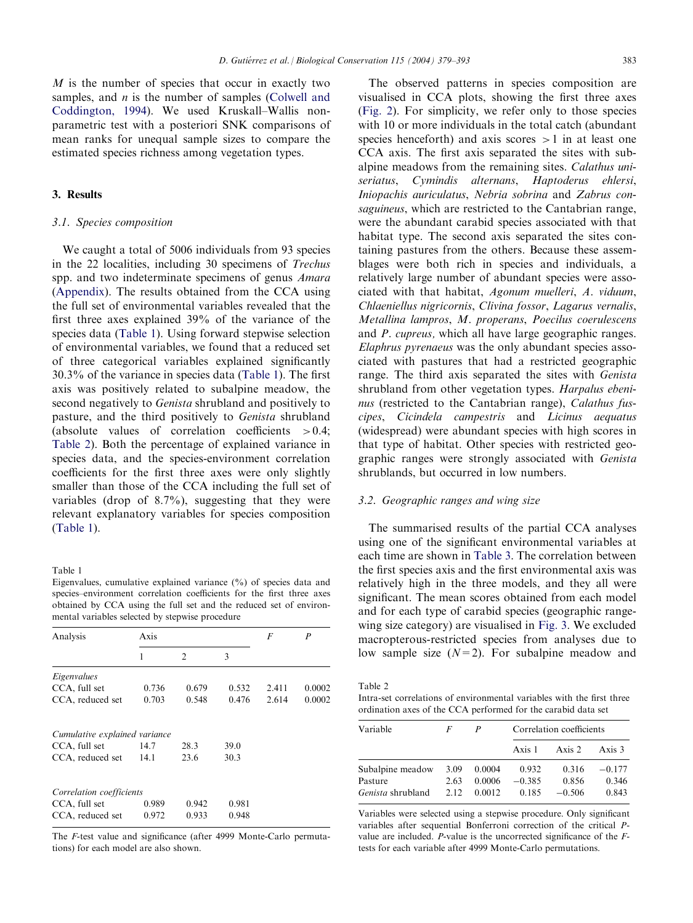<span id="page-4-0"></span> $M$  is the number of species that occur in exactly two samples, and  $n$  is the number of samples ([Colwell and](#page-13-0) [Coddington, 1994](#page-13-0)). We used Kruskall–Wallis nonparametric test with a posteriori SNK comparisons of mean ranks for unequal sample sizes to compare the estimated species richness among vegetation types.

# 3. Results

#### 3.1. Species composition

We caught a total of 5006 individuals from 93 species in the 22 localities, including 30 specimens of Trechus spp. and two indeterminate specimens of genus *Amara* [\(Appendix\)](#page-10-0). The results obtained from the CCA using the full set of environmental variables revealed that the first three axes explained 39% of the variance of the species data (Table 1). Using forward stepwise selection of environmental variables, we found that a reduced set of three categorical variables explained significantly 30.3% of the variance in species data (Table 1). The first axis was positively related to subalpine meadow, the second negatively to Genista shrubland and positively to pasture, and the third positively to Genista shrubland (absolute values of correlation coefficients  $>0.4$ ; Table 2). Both the percentage of explained variance in species data, and the species-environment correlation coefficients for the first three axes were only slightly smaller than those of the CCA including the full set of variables (drop of  $8.7\%$ ), suggesting that they were relevant explanatory variables for species composition (Table 1).

Table 1

Eigenvalues, cumulative explained variance (%) of species data and species–environment correlation coefficients for the first three axes obtained by CCA using the full set and the reduced set of environmental variables selected by stepwise procedure

| Analysis                      | Axis  |       |       | F     | P      |
|-------------------------------|-------|-------|-------|-------|--------|
|                               | 1     | 2     | 3     |       |        |
| Eigenvalues                   |       |       |       |       |        |
| CCA, full set                 | 0.736 | 0.679 | 0.532 | 2.411 | 0.0002 |
| CCA, reduced set              | 0.703 | 0.548 | 0.476 | 2.614 | 0.0002 |
| Cumulative explained variance |       |       |       |       |        |
| CCA, full set                 | 14.7  | 28.3  | 39.0  |       |        |
| CCA, reduced set              | 14.1  | 23.6  | 30.3  |       |        |
| Correlation coefficients      |       |       |       |       |        |
| CCA, full set                 | 0.989 | 0.942 | 0.981 |       |        |
| CCA, reduced set              | 0.972 | 0.933 | 0.948 |       |        |

The F-test value and significance (after 4999 Monte-Carlo permutations) for each model are also shown.

The observed patterns in species composition are visualised in CCA plots, showing the first three axes [\(Fig. 2](#page-5-0)). For simplicity, we refer only to those species with 10 or more individuals in the total catch (abundant species henceforth) and axis scores  $>1$  in at least one CCA axis. The first axis separated the sites with subalpine meadows from the remaining sites. Calathus uniseriatus, Cymindis alternans, Haptoderus ehlersi, Iniopachis auriculatus, Nebria sobrina and Zabrus consaguineus, which are restricted to the Cantabrian range, were the abundant carabid species associated with that habitat type. The second axis separated the sites containing pastures from the others. Because these assemblages were both rich in species and individuals, a relatively large number of abundant species were associated with that habitat, Agonum muelleri, A. viduum, Chlaeniellus nigricornis, Clivina fossor, Lagarus vernalis, Metallina lampros, M. properans, Poecilus coerulescens and P. cupreus, which all have large geographic ranges. Elaphrus pyrenaeus was the only abundant species associated with pastures that had a restricted geographic range. The third axis separated the sites with Genista shrubland from other vegetation types. Harpalus ebeninus (restricted to the Cantabrian range), Calathus fuscipes, Cicindela campestris and Licinus aequatus (widespread) were abundant species with high scores in that type of habitat. Other species with restricted geographic ranges were strongly associated with Genista shrublands, but occurred in low numbers.

# 3.2. Geographic ranges and wing size

The summarised results of the partial CCA analyses using one of the significant environmental variables at each time are shown in [Table 3.](#page-6-0) The correlation between the first species axis and the first environmental axis was relatively high in the three models, and they all were significant. The mean scores obtained from each model and for each type of carabid species (geographic rangewing size category) are visualised in [Fig. 3](#page-6-0). We excluded macropterous-restricted species from analyses due to low sample size  $(N=2)$ . For subalpine meadow and

Table 2

Intra-set correlations of environmental variables with the first three ordination axes of the CCA performed for the carabid data set

| Variable                 | F    | P      | Correlation coefficients |          |          |  |
|--------------------------|------|--------|--------------------------|----------|----------|--|
|                          |      |        | Axis 1                   | Axis 2   | Axis 3   |  |
| Subalpine meadow         | 3.09 | 0.0004 | 0.932                    | 0.316    | $-0.177$ |  |
| Pasture                  | 2.63 | 0.0006 | $-0.385$                 | 0.856    | 0.346    |  |
| <i>Genista</i> shrubland | 2.12 | 0.0012 | 0.185                    | $-0.506$ | 0.843    |  |

Variables were selected using a stepwise procedure. Only significant variables after sequential Bonferroni correction of the critical Pvalue are included. P-value is the uncorrected significance of the Ftests for each variable after 4999 Monte-Carlo permutations.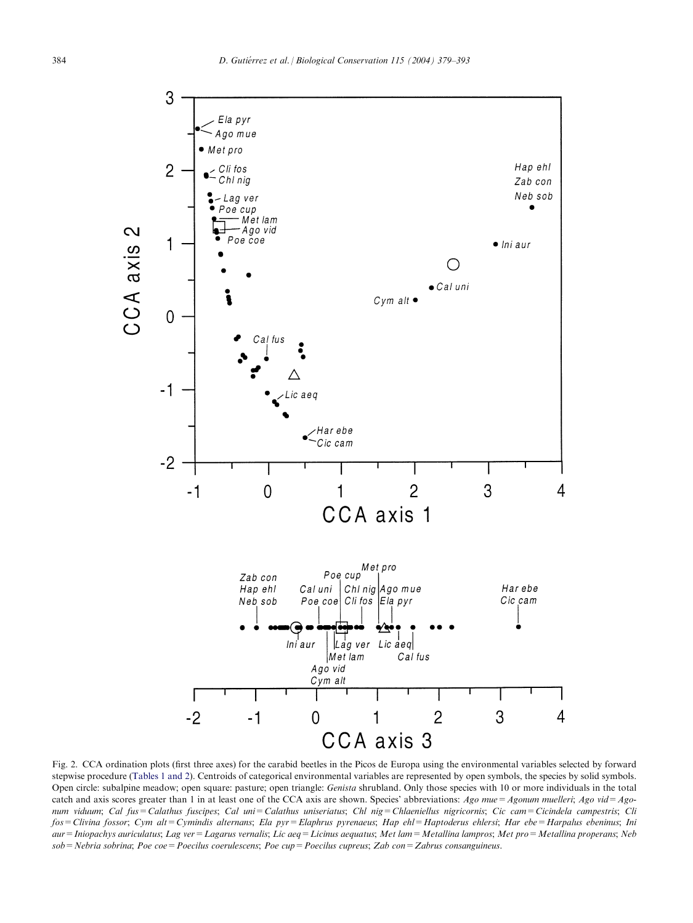<span id="page-5-0"></span>

Fig. 2. CCA ordination plots (first three axes) for the carabid beetles in the Picos de Europa using the environmental variables selected by forward stepwise procedure ([Tables 1 and 2\)](#page-4-0). Centroids of categorical environmental variables are represented by open symbols, the species by solid symbols. Open circle: subalpine meadow; open square: pasture; open triangle: Genista shrubland. Only those species with 10 or more individuals in the total catch and axis scores greater than 1 in at least one of the CCA axis are shown. Species' abbreviations: Ago mue = Agonum muelleri; Ago vid = Agonum viduum; Cal fus=Calathus fuscipes; Cal uni=Calathus uniseriatus; Chl nig=Chlaeniellus nigricornis; Cic cam=Cicindela campestris; Cli fos=Clivina fossor; Cym alt=Cymindis alternans; Ela pyr=Elaphrus pyrenaeus; Hap ehl=Haptoderus ehlersi; Har ebe=Harpalus ebeninus; Ini aur=Iniopachys auriculatus; Lag ver=Lagarus vernalis; Lic aeq=Licinus aequatus; Met lam=Metallina lampros; Met pro=Metallina properans; Neb sob=Nebria sobrina; Poe coe=Poecilus coerulescens; Poe cup=Poecilus cupreus; Zab con=Zabrus consanguineus.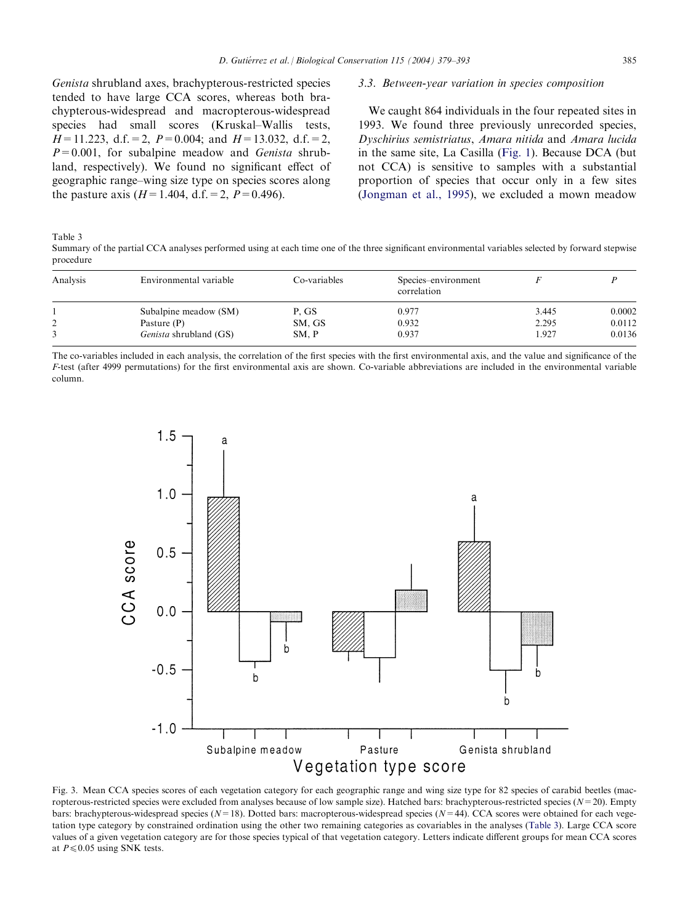<span id="page-6-0"></span>Genista shrubland axes, brachypterous-restricted species tended to have large CCA scores, whereas both brachypterous-widespread and macropterous-widespread species had small scores (Kruskal–Wallis tests,  $H=11.223$ , d.f. = 2,  $P=0.004$ ; and  $H=13.032$ , d.f. = 2,  $P=0.001$ , for subalpine meadow and *Genista* shrubland, respectively). We found no significant effect of geographic range–wing size type on species scores along the pasture axis  $(H=1.404, d.f. = 2, P=0.496)$ .

#### 3.3. Between-year variation in species composition

We caught 864 individuals in the four repeated sites in 1993. We found three previously unrecorded species, Dyschirius semistriatus, Amara nitida and Amara lucida in the same site, La Casilla [\(Fig. 1](#page-2-0)). Because DCA (but not CCA) is sensitive to samples with a substantial proportion of species that occur only in a few sites [\(Jongman et al., 1995\)](#page-14-0), we excluded a mown meadow

Table 3

Summary of the partial CCA analyses performed using at each time one of the three significant environmental variables selected by forward stepwise procedure

| Analysis | Environmental variable        | Co-variables | Species-environment<br>correlation |       |        |
|----------|-------------------------------|--------------|------------------------------------|-------|--------|
|          | Subalpine meadow (SM)         | P. GS        | 0.977                              | 3.445 | 0.0002 |
|          | Pasture (P)                   | SM, GS       | 0.932                              | 2.295 | 0.0112 |
|          | <i>Genista</i> shrubland (GS) | SM, P        | 0.937                              | 1.927 | 0.0136 |

The co-variables included in each analysis, the correlation of the first species with the first environmental axis, and the value and significance of the F-test (after 4999 permutations) for the first environmental axis are shown. Co-variable abbreviations are included in the environmental variable column.



Fig. 3. Mean CCA species scores of each vegetation category for each geographic range and wing size type for 82 species of carabid beetles (macropterous-restricted species were excluded from analyses because of low sample size). Hatched bars: brachypterous-restricted species ( $N=20$ ). Empty bars: brachypterous-widespread species ( $N=18$ ). Dotted bars: macropterous-widespread species ( $N=44$ ). CCA scores were obtained for each vegetation type category by constrained ordination using the other two remaining categories as covariables in the analyses (Table 3). Large CCA score values of a given vegetation category are for those species typical of that vegetation category. Letters indicate different groups for mean CCA scores at  $P \leq 0.05$  using SNK tests.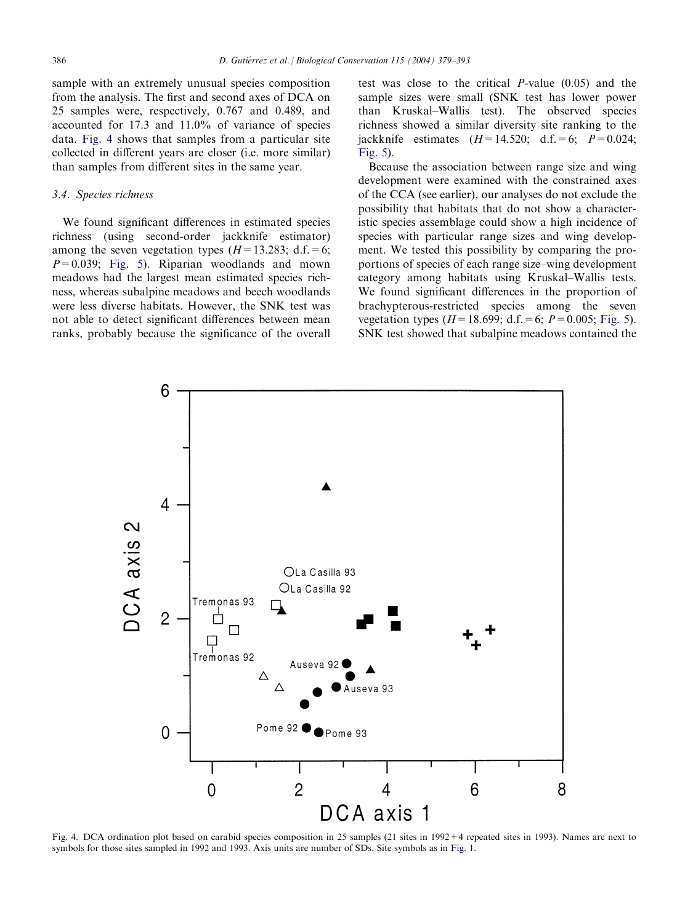sample with an extremely unusual species composition from the analysis. The first and second axes of DCA on 25 samples were, respectively, 0.767 and 0.489, and accounted for 17.3 and 11.0% of variance of species data. Fig. 4 shows that samples from a particular site collected in different years are closer (i.e. more similar) than samples from different sites in the same year.

#### 3.4. Species richness

We found significant differences in estimated species richness (using second-order jackknife estimator) among the seven vegetation types  $(H=13.283; d.f. = 6;$  $P=0.039$ ; [Fig. 5](#page-8-0)). Riparian woodlands and mown meadows had the largest mean estimated species richness, whereas subalpine meadows and beech woodlands were less diverse habitats. However, the SNK test was not able to detect significant differences between mean ranks, probably because the significance of the overall

test was close to the critical P-value (0.05) and the sample sizes were small (SNK test has lower power than Kruskal–Wallis test). The observed species richness showed a similar diversity site ranking to the jackknife estimates  $(H=14.520; d.f. = 6; P=0.024;$ [Fig. 5\)](#page-8-0).

Because the association between range size and wing development were examined with the constrained axes of the CCA (see earlier), our analyses do not exclude the possibility that habitats that do not show a characteristic species assemblage could show a high incidence of species with particular range sizes and wing development. We tested this possibility by comparing the proportions of species of each range size–wing development category among habitats using Kruskal–Wallis tests. We found significant differences in the proportion of brachypterous-restricted species among the seven vegetation types ( $H=18.699$ ; d.f. = 6;  $P=0.005$ ; [Fig. 5\)](#page-8-0). SNK test showed that subalpine meadows contained the



Fig. 4. DCA ordination plot based on carabid species composition in 25 samples (21 sites in 1992+4 repeated sites in 1993). Names are next to symbols for those sites sampled in 1992 and 1993. Axis units are number of SDs. Site symbols as in [Fig. 1](#page-2-0).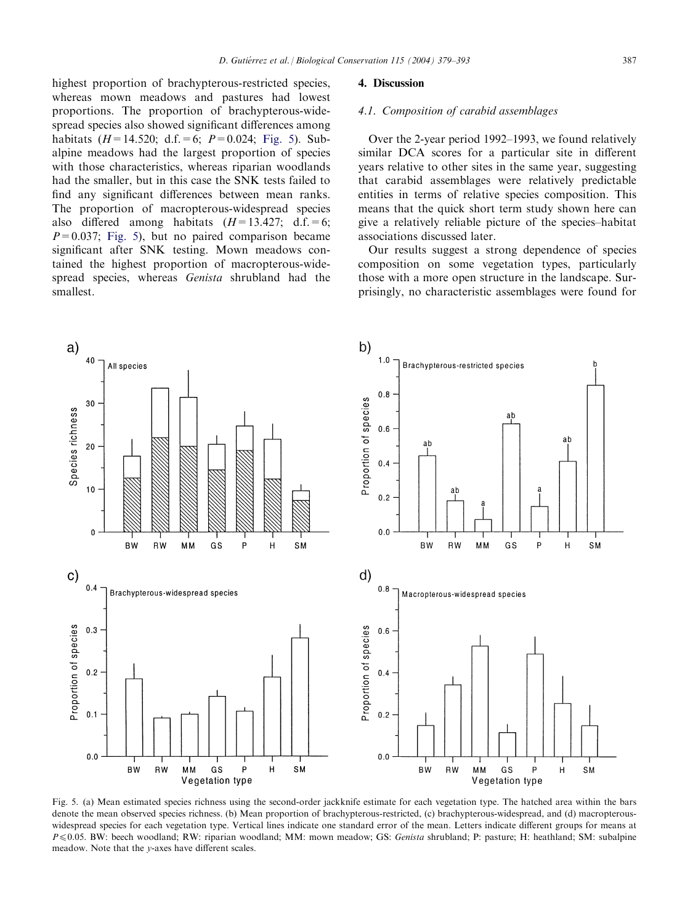<span id="page-8-0"></span>highest proportion of brachypterous-restricted species, whereas mown meadows and pastures had lowest proportions. The proportion of brachypterous-widespread species also showed significant differences among habitats  $(H=14.520; d.f. = 6; P=0.024; Fig. 5)$ . Subalpine meadows had the largest proportion of species with those characteristics, whereas riparian woodlands had the smaller, but in this case the SNK tests failed to find any significant differences between mean ranks. The proportion of macropterous-widespread species also differed among habitats  $(H=13.427; d.f. = 6;$  $P=0.037$ ; Fig. 5), but no paired comparison became significant after SNK testing. Mown meadows contained the highest proportion of macropterous-widespread species, whereas Genista shrubland had the smallest.

#### 4. Discussion

#### 4.1. Composition of carabid assemblages

Over the 2-year period 1992–1993, we found relatively similar DCA scores for a particular site in different years relative to other sites in the same year, suggesting that carabid assemblages were relatively predictable entities in terms of relative species composition. This means that the quick short term study shown here can give a relatively reliable picture of the species–habitat associations discussed later.

Our results suggest a strong dependence of species composition on some vegetation types, particularly those with a more open structure in the landscape. Surprisingly, no characteristic assemblages were found for



Fig. 5. (a) Mean estimated species richness using the second-order jackknife estimate for each vegetation type. The hatched area within the bars denote the mean observed species richness. (b) Mean proportion of brachypterous-restricted, (c) brachypterous-widespread, and (d) macropterouswidespread species for each vegetation type. Vertical lines indicate one standard error of the mean. Letters indicate different groups for means at P < 0.05. BW: beech woodland; RW: riparian woodland; MM: mown meadow; GS: Genista shrubland; P: pasture; H: heathland; SM: subalpine meadow. Note that the y-axes have different scales.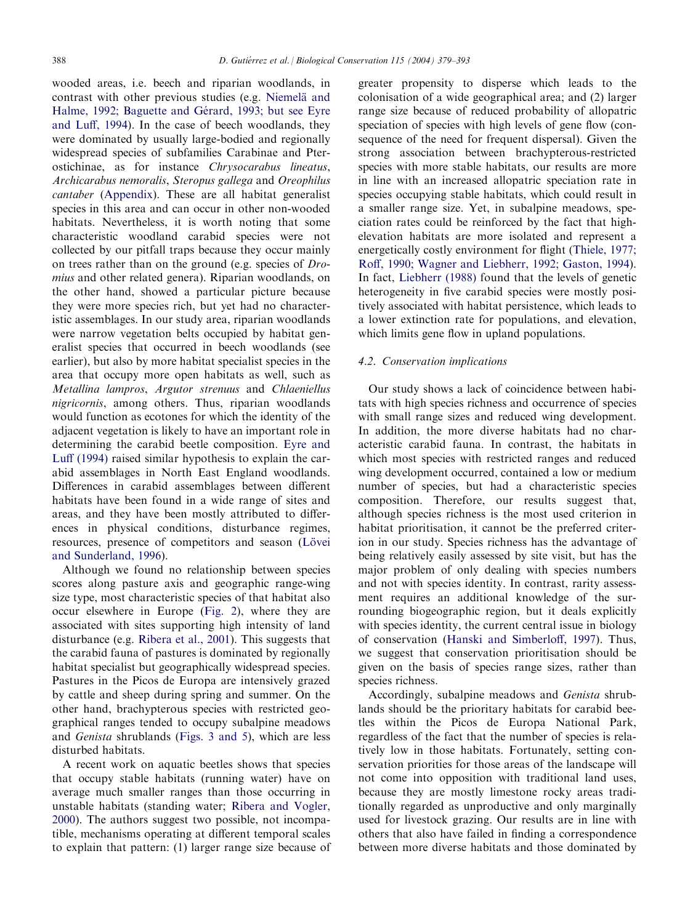wooded areas, i.e. beech and riparian woodlands, in contrast with other previous studies (e.g. Niemelä and Halme, 1992; Baguette and Gérard, 1993; but see Eyre [and Luff, 1994\)](#page-14-0). In the case of beech woodlands, they were dominated by usually large-bodied and regionally widespread species of subfamilies Carabinae and Pterostichinae, as for instance Chrysocarabus lineatus, Archicarabus nemoralis, Steropus gallega and Oreophilus cantaber [\(Appendix](#page-10-0)). These are all habitat generalist species in this area and can occur in other non-wooded habitats. Nevertheless, it is worth noting that some characteristic woodland carabid species were not collected by our pitfall traps because they occur mainly on trees rather than on the ground (e.g. species of Dromius and other related genera). Riparian woodlands, on the other hand, showed a particular picture because they were more species rich, but yet had no characteristic assemblages. In our study area, riparian woodlands were narrow vegetation belts occupied by habitat generalist species that occurred in beech woodlands (see earlier), but also by more habitat specialist species in the area that occupy more open habitats as well, such as Metallina lampros, Argutor strenuus and Chlaeniellus nigricornis, among others. Thus, riparian woodlands would function as ecotones for which the identity of the adjacent vegetation is likely to have an important role in determining the carabid beetle composition. [Eyre and](#page-14-0) [Luff \(1994\)](#page-14-0) raised similar hypothesis to explain the carabid assemblages in North East England woodlands. Differences in carabid assemblages between different habitats have been found in a wide range of sites and areas, and they have been mostly attributed to differences in physical conditions, disturbance regimes, resources, presence of competitors and season (Lövei [and Sunderland, 1996](#page-14-0)).

Although we found no relationship between species scores along pasture axis and geographic range-wing size type, most characteristic species of that habitat also occur elsewhere in Europe ([Fig. 2\)](#page-5-0), where they are associated with sites supporting high intensity of land disturbance (e.g. [Ribera et al., 2001\)](#page-14-0). This suggests that the carabid fauna of pastures is dominated by regionally habitat specialist but geographically widespread species. Pastures in the Picos de Europa are intensively grazed by cattle and sheep during spring and summer. On the other hand, brachypterous species with restricted geographical ranges tended to occupy subalpine meadows and Genista shrublands [\(Figs. 3 and 5\)](#page-6-0), which are less disturbed habitats.

A recent work on aquatic beetles shows that species that occupy stable habitats (running water) have on average much smaller ranges than those occurring in unstable habitats (standing water; [Ribera and Vogler,](#page-14-0) [2000\)](#page-14-0). The authors suggest two possible, not incompatible, mechanisms operating at different temporal scales to explain that pattern: (1) larger range size because of greater propensity to disperse which leads to the colonisation of a wide geographical area; and (2) larger range size because of reduced probability of allopatric speciation of species with high levels of gene flow (consequence of the need for frequent dispersal). Given the strong association between brachypterous-restricted species with more stable habitats, our results are more in line with an increased allopatric speciation rate in species occupying stable habitats, which could result in a smaller range size. Yet, in subalpine meadows, speciation rates could be reinforced by the fact that highelevation habitats are more isolated and represent a energetically costly environment for flight [\(Thiele, 1977;](#page-14-0) [Roff, 1990; Wagner and Liebherr, 1992; Gaston, 1994\)](#page-14-0). In fact, [Liebherr \(1988\)](#page-14-0) found that the levels of genetic heterogeneity in five carabid species were mostly positively associated with habitat persistence, which leads to a lower extinction rate for populations, and elevation, which limits gene flow in upland populations.

### 4.2. Conservation implications

Our study shows a lack of coincidence between habitats with high species richness and occurrence of species with small range sizes and reduced wing development. In addition, the more diverse habitats had no characteristic carabid fauna. In contrast, the habitats in which most species with restricted ranges and reduced wing development occurred, contained a low or medium number of species, but had a characteristic species composition. Therefore, our results suggest that, although species richness is the most used criterion in habitat prioritisation, it cannot be the preferred criterion in our study. Species richness has the advantage of being relatively easily assessed by site visit, but has the major problem of only dealing with species numbers and not with species identity. In contrast, rarity assessment requires an additional knowledge of the surrounding biogeographic region, but it deals explicitly with species identity, the current central issue in biology of conservation ([Hanski and Simberloff, 1997\)](#page-14-0). Thus, we suggest that conservation prioritisation should be given on the basis of species range sizes, rather than species richness.

Accordingly, subalpine meadows and Genista shrublands should be the prioritary habitats for carabid beetles within the Picos de Europa National Park, regardless of the fact that the number of species is relatively low in those habitats. Fortunately, setting conservation priorities for those areas of the landscape will not come into opposition with traditional land uses, because they are mostly limestone rocky areas traditionally regarded as unproductive and only marginally used for livestock grazing. Our results are in line with others that also have failed in finding a correspondence between more diverse habitats and those dominated by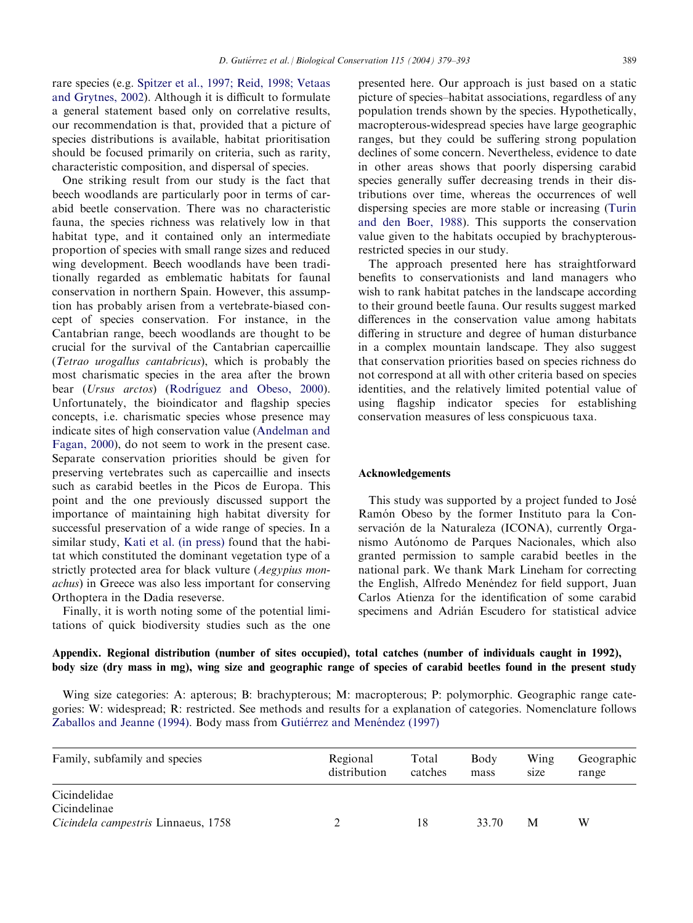<span id="page-10-0"></span>rare species (e.g. [Spitzer et al., 1997; Reid, 1998; Vetaas](#page-14-0) [and Grytnes, 2002\)](#page-14-0). Although it is difficult to formulate a general statement based only on correlative results, our recommendation is that, provided that a picture of species distributions is available, habitat prioritisation should be focused primarily on criteria, such as rarity, characteristic composition, and dispersal of species.

One striking result from our study is the fact that beech woodlands are particularly poor in terms of carabid beetle conservation. There was no characteristic fauna, the species richness was relatively low in that habitat type, and it contained only an intermediate proportion of species with small range sizes and reduced wing development. Beech woodlands have been traditionally regarded as emblematic habitats for faunal conservation in northern Spain. However, this assumption has probably arisen from a vertebrate-biased concept of species conservation. For instance, in the Cantabrian range, beech woodlands are thought to be crucial for the survival of the Cantabrian capercaillie (Tetrao urogallus cantabricus), which is probably the most charismatic species in the area after the brown bear (*Ursus arctos*) (Rodríguez and Obeso, 2000). Unfortunately, the bioindicator and flagship species concepts, i.e. charismatic species whose presence may indicate sites of high conservation value (Andelman and Fagan, 2000), do not seem to work in the present case. Separate conservation priorities should be given for preserving vertebrates such as capercaillie and insects such as carabid beetles in the Picos de Europa. This point and the one previously discussed support the importance of maintaining high habitat diversity for successful preservation of a wide range of species. In a similar study, [Kati et al. \(in press\)](#page-14-0) found that the habitat which constituted the dominant vegetation type of a strictly protected area for black vulture (Aegypius monachus) in Greece was also less important for conserving Orthoptera in the Dadia reseverse.

Finally, it is worth noting some of the potential limitations of quick biodiversity studies such as the one

presented here. Our approach is just based on a static picture of species–habitat associations, regardless of any population trends shown by the species. Hypothetically, macropterous-widespread species have large geographic ranges, but they could be suffering strong population declines of some concern. Nevertheless, evidence to date in other areas shows that poorly dispersing carabid species generally suffer decreasing trends in their distributions over time, whereas the occurrences of well dispersing species are more stable or increasing ([Turin](#page-14-0) [and den Boer, 1988](#page-14-0)). This supports the conservation value given to the habitats occupied by brachypterousrestricted species in our study.

The approach presented here has straightforward benefits to conservationists and land managers who wish to rank habitat patches in the landscape according to their ground beetle fauna. Our results suggest marked differences in the conservation value among habitats differing in structure and degree of human disturbance in a complex mountain landscape. They also suggest that conservation priorities based on species richness do not correspond at all with other criteria based on species identities, and the relatively limited potential value of using flagship indicator species for establishing conservation measures of less conspicuous taxa.

# Acknowledgements

This study was supported by a project funded to José Ramón Obeso by the former Instituto para la Conservación de la Naturaleza (ICONA), currently Organismo Autónomo de Parques Nacionales, which also granted permission to sample carabid beetles in the national park. We thank Mark Lineham for correcting the English, Alfredo Menéndez for field support, Juan Carlos Atienza for the identification of some carabid specimens and Adrián Escudero for statistical advice

# Appendix. Regional distribution (number of sites occupied), total catches (number of individuals caught in 1992), body size (dry mass in mg), wing size and geographic range of species of carabid beetles found in the present study

Wing size categories: A: apterous; B: brachypterous; M: macropterous; P: polymorphic. Geographic range categories: W: widespread; R: restricted. See methods and results for a explanation of categories. Nomenclature follows [Zaballos and Jeanne \(1994\)](#page-14-0). Body mass from Gutiérrez and Menéndez (1997)

| Family, subfamily and species       | Regional<br>distribution | Total<br>catches | Body<br>mass | Wing<br>size | Geographic<br>range |
|-------------------------------------|--------------------------|------------------|--------------|--------------|---------------------|
| Cicindelidae<br>Cicindelinae        |                          |                  |              |              |                     |
| Cicindela campestris Linnaeus, 1758 |                          | 18               | 33.70        | M            | W                   |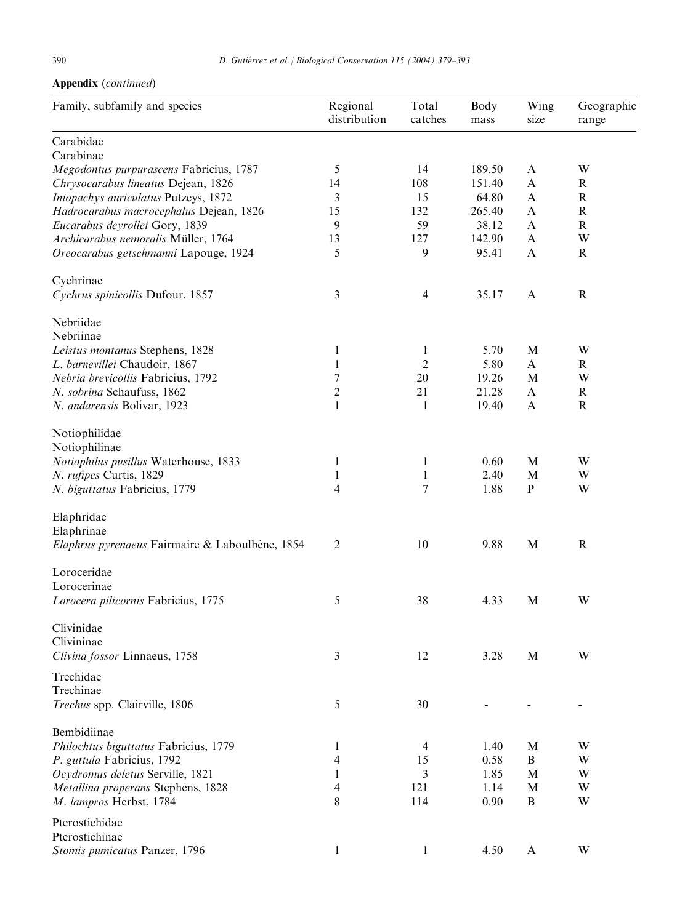# Appendix (continued)

| Family, subfamily and species                   | Regional<br>distribution | Total<br>catches | Body<br>mass | Wing<br>size | Geographic<br>range |
|-------------------------------------------------|--------------------------|------------------|--------------|--------------|---------------------|
| Carabidae                                       |                          |                  |              |              |                     |
| Carabinae                                       |                          |                  |              |              |                     |
| Megodontus purpurascens Fabricius, 1787         | 5                        | 14               | 189.50       | A            | W                   |
| Chrysocarabus lineatus Dejean, 1826             | 14                       | 108              | 151.40       | A            | R                   |
| Iniopachys auriculatus Putzeys, 1872            | 3                        | 15               | 64.80        | A            | $\mathbf R$         |
| Hadrocarabus macrocephalus Dejean, 1826         | 15                       | 132              | 265.40       | A            | $\mathbf R$         |
| Eucarabus deyrollei Gory, 1839                  | 9                        | 59               | 38.12        | A            | $\mathbf R$         |
| Archicarabus nemoralis Müller, 1764             | 13                       | 127              | 142.90       | A            | W                   |
| Oreocarabus getschmanni Lapouge, 1924           | 5                        | 9                | 95.41        | $\mathbf{A}$ | R                   |
| Cychrinae                                       |                          |                  |              |              |                     |
| Cychrus spinicollis Dufour, 1857                | 3                        | $\overline{4}$   | 35.17        | A            | $\mathbb{R}$        |
| Nebriidae<br>Nebriinae                          |                          |                  |              |              |                     |
| Leistus montanus Stephens, 1828                 | $\mathbf{1}$             | 1                | 5.70         | M            | W                   |
| L. barnevillei Chaudoir, 1867                   | $\mathbf{1}$             | $\overline{c}$   | 5.80         | $\mathbf{A}$ | $\mathbf R$         |
| Nebria brevicollis Fabricius, 1792              | $\overline{7}$           | 20               | 19.26        | $\mathbf{M}$ | W                   |
| N. sobrina Schaufuss, 1862                      | $\overline{c}$           | 21               | 21.28        | A            | $\mathbf R$         |
| N. andarensis Bolívar, 1923                     | $\,1$                    | 1                | 19.40        | $\mathbf{A}$ | $\mathbb{R}$        |
| Notiophilidae<br>Notiophilinae                  |                          |                  |              |              |                     |
| Notiophilus pusillus Waterhouse, 1833           | 1                        | 1                | 0.60         | M            | W                   |
| N. rufipes Curtis, 1829                         | $\mathbf{1}$             | 1                | 2.40         | $\mathbf{M}$ | W                   |
| N. biguttatus Fabricius, 1779                   | 4                        | $\overline{7}$   | 1.88         | $\, {\bf P}$ | W                   |
| Elaphridae<br>Elaphrinae                        |                          |                  |              |              |                     |
| Elaphrus pyrenaeus Fairmaire & Laboulbène, 1854 | 2                        | 10               | 9.88         | $\mathbf{M}$ | $\mathbb{R}$        |
| Loroceridae                                     |                          |                  |              |              |                     |
| Lorocerinae                                     |                          |                  |              |              |                     |
| Lorocera pilicornis Fabricius, 1775             | 5                        | 38               | 4.33         | M            | W                   |
| Clivinidae<br>Clivininae                        |                          |                  |              |              |                     |
| Clivina fossor Linnaeus, 1758                   | 3                        | 12               | 3.28         | $\mathbf{M}$ | W                   |
| Trechidae                                       |                          |                  |              |              |                     |
| Trechinae<br>Trechus spp. Clairville, 1806      | 5                        | 30               |              |              |                     |
|                                                 |                          |                  |              |              |                     |
| Bembidiinae                                     |                          |                  |              |              |                     |
| Philochtus biguttatus Fabricius, 1779           | 1                        | $\overline{4}$   | 1.40         | M            | W                   |
| P. guttula Fabricius, 1792                      | 4                        | 15               | 0.58         | B            | W                   |
| Ocydromus deletus Serville, 1821                | 1                        | 3                | 1.85         | $\mathbf{M}$ | W                   |
| Metallina properans Stephens, 1828              | 4                        | 121              | 1.14         | $\mathbf{M}$ | W                   |
| M. lampros Herbst, 1784                         | 8                        | 114              | 0.90         | B            | W                   |
| Pterostichidae<br>Pterostichinae                |                          |                  |              |              |                     |
| Stomis pumicatus Panzer, 1796                   | 1                        | 1                | 4.50         | A            | W                   |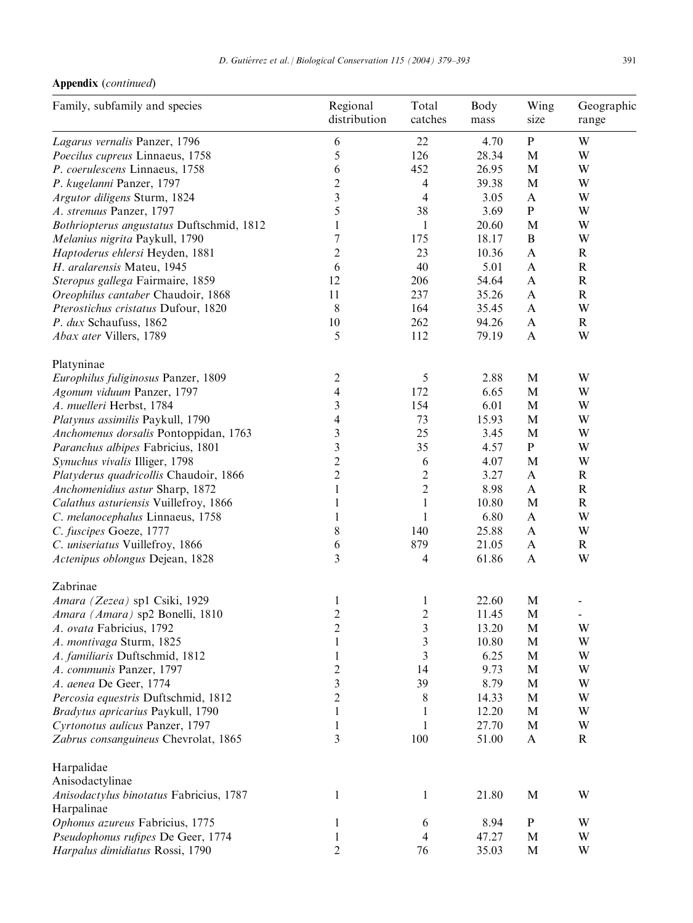# Appendix (continued)

| Family, subfamily and species             | Regional<br>distribution | Total<br>catches | <b>Body</b><br>mass | Wing<br>size | Geographic<br>range |
|-------------------------------------------|--------------------------|------------------|---------------------|--------------|---------------------|
| Lagarus vernalis Panzer, 1796             | 6                        | 22               | 4.70                | ${\bf P}$    | W                   |
| Poecilus cupreus Linnaeus, 1758           | 5                        | 126              | 28.34               | $\mathbf M$  | W                   |
| P. coerulescens Linnaeus, 1758            | 6                        | 452              | 26.95               | $\mathbf M$  | W                   |
| P. kugelanni Panzer, 1797                 | $\overline{c}$           | 4                | 39.38               | $\mathbf M$  | W                   |
| Argutor diligens Sturm, 1824              | 3                        | $\overline{4}$   | 3.05                | A            | W                   |
| A. strenuus Panzer, 1797                  | 5                        | 38               | 3.69                | ${\bf P}$    | W                   |
| Bothriopterus angustatus Duftschmid, 1812 | 1                        | 1                | 20.60               | $\mathbf M$  | W                   |
| Melanius nigrita Paykull, 1790            | 7                        | 175              | 18.17               | B            | W                   |
| Haptoderus ehlersi Heyden, 1881           | $\overline{c}$           | 23               | 10.36               | $\mathbf{A}$ | $\mathbf R$         |
| H. aralarensis Mateu, 1945                | 6                        | 40               | 5.01                | $\mathbf{A}$ | $\mathbf R$         |
| Steropus gallega Fairmaire, 1859          | 12                       | 206              | 54.64               | $\mathbf{A}$ | $\mathbf R$         |
| Oreophilus cantaber Chaudoir, 1868        | 11                       | 237              | 35.26               | $\mathbf{A}$ | ${\bf R}$           |
| Pterostichus cristatus Dufour, 1820       | 8                        | 164              | 35.45               | $\mathbf{A}$ | W                   |
| P. dux Schaufuss, 1862                    | 10                       | 262              | 94.26               | $\mathbf{A}$ | $\mathbf R$         |
| Abax ater Villers, 1789                   | 5                        | 112              | 79.19               | $\mathbf{A}$ | W                   |
|                                           |                          |                  |                     |              |                     |
| Platyninae                                |                          |                  |                     |              |                     |
| Europhilus fuliginosus Panzer, 1809       | 2                        | 5                | 2.88                | $\mathbf M$  | W                   |
| Agonum viduum Panzer, 1797                | 4                        | 172              | 6.65                | $\mathbf M$  | W                   |
| A. muelleri Herbst, 1784                  | 3                        | 154              | 6.01                | $\mathbf M$  | W                   |
| Platynus assimilis Paykull, 1790          | 4                        | 73               | 15.93               | $\mathbf M$  | W                   |
| Anchomenus dorsalis Pontoppidan, 1763     | 3                        | 25               | 3.45                | $\mathbf M$  | W                   |
| Paranchus albipes Fabricius, 1801         | 3                        | 35               | 4.57                | P            | W                   |
| Synuchus vivalis Illiger, 1798            | 2                        | 6                | 4.07                | $\mathbf M$  | W                   |
| Platyderus quadricollis Chaudoir, 1866    | $\overline{c}$           | $\boldsymbol{2}$ | 3.27                | $\mathbf{A}$ | $\mathbf R$         |
| Anchomenidius astur Sharp, 1872           | 1                        | $\sqrt{2}$       | 8.98                | $\mathbf{A}$ | $\mathbf R$         |
| Calathus asturiensis Vuillefroy, 1866     | 1                        | $\mathbf{1}$     | 10.80               | $\mathbf M$  | $\mathbf R$         |
| C. melanocephalus Linnaeus, 1758          | 1                        | 1                | 6.80                | $\mathbf{A}$ | W                   |
| C. fuscipes Goeze, 1777                   | 8                        | 140              | 25.88               | $\mathbf{A}$ | W                   |
| C. uniseriatus Vuillefroy, 1866           | 6                        | 879              | 21.05               | $\mathbf{A}$ | $\mathbf R$         |
| Actenipus oblongus Dejean, 1828           | 3                        | 4                | 61.86               | $\mathbf{A}$ | W                   |
| Zabrinae                                  |                          |                  |                     |              |                     |
| Amara (Zezea) sp1 Csiki, 1929             | 1                        | 1                | 22.60               | $\mathbf M$  |                     |
| Amara (Amara) sp2 Bonelli, 1810           | $\overline{2}$           | $\overline{2}$   | 11.45               | M            |                     |
| A. ovata Fabricius, 1792                  | $\overline{c}$           | $\mathfrak{Z}$   | 13.20               | M            | W                   |
| A. montivaga Sturm, 1825                  | 1                        | 3                | 10.80               | M            | W                   |
| A. familiaris Duftschmid, 1812            | 1                        | 3                | 6.25                | M            | W                   |
|                                           |                          | 14               | 9.73                | M            | W                   |
| A. communis Panzer, 1797                  | 2                        |                  |                     |              |                     |
| A. aenea De Geer, 1774                    | 3                        | 39               | 8.79                | M            | W                   |
| Percosia equestris Duftschmid, 1812       | 2                        | 8                | 14.33               | M            | W                   |
| Bradytus apricarius Paykull, 1790         |                          |                  | 12.20               | M            | W                   |
| Cyrtonotus aulicus Panzer, 1797           | 1                        |                  | 27.70               | M            | W                   |
| Zabrus consanguineus Chevrolat, 1865      | 3                        | 100              | 51.00               | A            | $\mathbb{R}$        |
| Harpalidae                                |                          |                  |                     |              |                     |
| Anisodactylinae                           |                          |                  |                     |              |                     |
| Anisodactylus binotatus Fabricius, 1787   | 1                        | 1                | 21.80               | M            | W                   |
| Harpalinae                                |                          |                  |                     |              |                     |
| Ophonus azureus Fabricius, 1775           | 1                        | 6                | 8.94                | P            | W                   |
| Pseudophonus rufipes De Geer, 1774        | 1                        | 4                | 47.27               | M            | W                   |
| Harpalus dimidiatus Rossi, 1790           | 2                        | 76               | 35.03               | M            | W                   |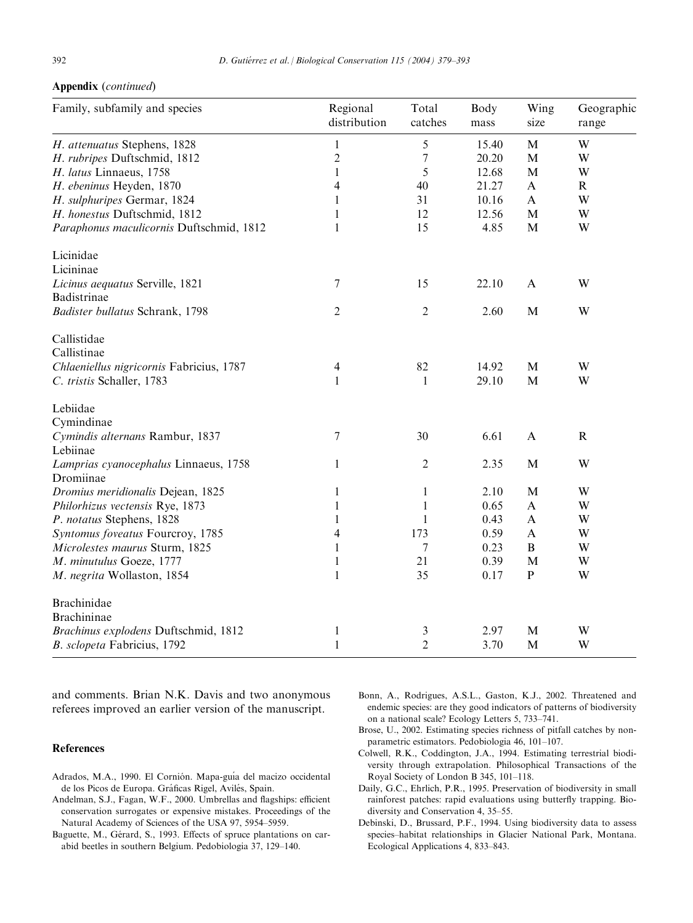#### <span id="page-13-0"></span>Appendix (continued)

| Family, subfamily and species                  | Regional<br>distribution | Total<br>catches    | Body<br>mass | Wing<br>size | Geographic<br>range     |
|------------------------------------------------|--------------------------|---------------------|--------------|--------------|-------------------------|
| H. attenuatus Stephens, 1828                   | $\mathbf{1}$             | 5                   | 15.40        | $\mathbf M$  | W                       |
| H. rubripes Duftschmid, 1812                   | $\sqrt{2}$               | $\boldsymbol{7}$    | 20.20        | M            | W                       |
| H. latus Linnaeus, 1758                        | $\mathbf{1}$             | 5                   | 12.68        | $\mathbf M$  | W                       |
| H. ebeninus Heyden, 1870                       | $\overline{4}$           | 40                  | 21.27        | $\mathbf{A}$ | $\mathbf R$             |
| H. sulphuripes Germar, 1824                    | $\mathbf{1}$             | 31                  | 10.16        | $\mathbf{A}$ | W                       |
| H. honestus Duftschmid, 1812                   | $\mathbf{1}$             | 12                  | 12.56        | $\mathbf M$  | W                       |
| Paraphonus maculicornis Duftschmid, 1812       | $\mathbf{1}$             | 15                  | 4.85         | $\mathbf M$  | W                       |
| Licinidae                                      |                          |                     |              |              |                         |
| Licininae                                      |                          |                     |              |              |                         |
| Licinus aequatus Serville, 1821<br>Badistrinae | 7                        | 15                  | 22.10        | $\mathbf{A}$ | W                       |
| Badister bullatus Schrank, 1798                | $\overline{2}$           | $\sqrt{2}$          | 2.60         | $\mathbf M$  | W                       |
| Callistidae                                    |                          |                     |              |              |                         |
| Callistinae                                    |                          |                     |              |              |                         |
| Chlaeniellus nigricornis Fabricius, 1787       | $\overline{4}$           | 82                  | 14.92        | $\mathbf M$  | W                       |
| C. tristis Schaller, 1783                      | $\mathbf{1}$             | $\mathbf{1}$        | 29.10        | $\mathbf M$  | W                       |
| Lebiidae                                       |                          |                     |              |              |                         |
| Cymindinae                                     |                          |                     |              |              |                         |
| Cymindis alternans Rambur, 1837<br>Lebiinae    | $\tau$                   | 30                  | 6.61         | $\mathbf{A}$ | $\mathbf R$             |
| Lamprias cyanocephalus Linnaeus, 1758          | 1                        | $\overline{2}$      | 2.35         | $\mathbf{M}$ | W                       |
| Dromiinae<br>Dromius meridionalis Dejean, 1825 | $\mathbf{1}$             | 1                   | 2.10         | $\mathbf{M}$ | W                       |
| Philorhizus vectensis Rye, 1873                | 1                        | 1                   | 0.65         | $\mathbf{A}$ | $\ensuremath{\text{W}}$ |
| P. notatus Stephens, 1828                      | 1                        | 1                   | 0.43         | $\mathbf{A}$ | W                       |
| Syntomus foveatus Fourcroy, 1785               | 4                        | 173                 | 0.59         | $\mathbf{A}$ | W                       |
| Microlestes maurus Sturm, 1825                 | $\mathbf{1}$             | 7                   | 0.23         | $\, {\bf B}$ | W                       |
| M. minutulus Goeze, 1777                       | $\mathbf{1}$             | 21                  | 0.39         | $\mathbf M$  | W                       |
| M. negrita Wollaston, 1854                     | $\mathbf{1}$             | 35                  | 0.17         | ${\bf P}$    | W                       |
| Brachinidae<br><b>Brachininae</b>              |                          |                     |              |              |                         |
| Brachinus explodens Duftschmid, 1812           |                          |                     | 2.97         | M            | W                       |
| B. sclopeta Fabricius, 1792                    | 1<br>$\mathbf{1}$        | 3<br>$\overline{2}$ | 3.70         | M            | W                       |
|                                                |                          |                     |              |              |                         |

and comments. Brian N.K. Davis and two anonymous referees improved an earlier version of the manuscript.

## References

- Adrados, M.A., 1990. El Cornión. Mapa-guía del macizo occidental de los Picos de Europa. Gráficas Rigel, Avilés, Spain.
- Andelman, S.J., Fagan, W.F., 2000. Umbrellas and flagships: efficient conservation surrogates or expensive mistakes. Proceedings of the Natural Academy of Sciences of the USA 97, 5954–5959.
- Baguette, M., Gérard, S., 1993. Effects of spruce plantations on carabid beetles in southern Belgium. Pedobiologia 37, 129–140.
- Bonn, A., Rodrigues, A.S.L., Gaston, K.J., 2002. Threatened and endemic species: are they good indicators of patterns of biodiversity on a national scale? Ecology Letters 5, 733–741.
- Brose, U., 2002. Estimating species richness of pitfall catches by nonparametric estimators. Pedobiologia 46, 101–107.
- Colwell, R.K., Coddington, J.A., 1994. Estimating terrestrial biodiversity through extrapolation. Philosophical Transactions of the Royal Society of London B 345, 101–118.
- Daily, G.C., Ehrlich, P.R., 1995. Preservation of biodiversity in small rainforest patches: rapid evaluations using butterfly trapping. Biodiversity and Conservation 4, 35–55.
- Debinski, D., Brussard, P.F., 1994. Using biodiversity data to assess species–habitat relationships in Glacier National Park, Montana. Ecological Applications 4, 833–843.